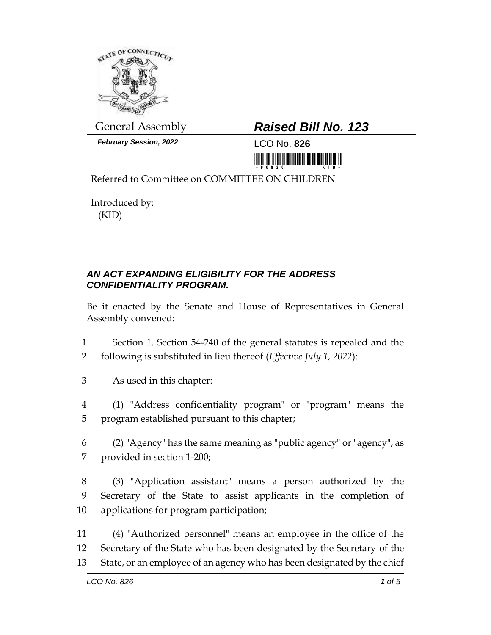

*February Session, 2022* LCO No. **826**

## General Assembly *Raised Bill No. 123*

<u> 1999 - Andrew Maria Maria Maria Maria Maria Maria Maria Maria Maria Maria Maria Maria Maria Maria Maria Mari</u>

Referred to Committee on COMMITTEE ON CHILDREN

Introduced by: (KID)

## *AN ACT EXPANDING ELIGIBILITY FOR THE ADDRESS CONFIDENTIALITY PROGRAM.*

Be it enacted by the Senate and House of Representatives in General Assembly convened:

- 1 Section 1. Section 54-240 of the general statutes is repealed and the 2 following is substituted in lieu thereof (*Effective July 1, 2022*):
- 3 As used in this chapter:
- 4 (1) "Address confidentiality program" or "program" means the 5 program established pursuant to this chapter;
- 6 (2) "Agency" has the same meaning as "public agency" or "agency", as 7 provided in section 1-200;
- 8 (3) "Application assistant" means a person authorized by the 9 Secretary of the State to assist applicants in the completion of 10 applications for program participation;
- 11 (4) "Authorized personnel" means an employee in the office of the 12 Secretary of the State who has been designated by the Secretary of the 13 State, or an employee of an agency who has been designated by the chief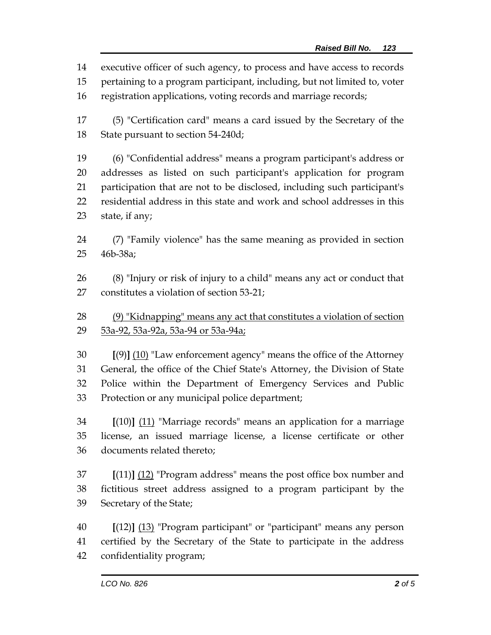executive officer of such agency, to process and have access to records

pertaining to a program participant, including, but not limited to, voter

registration applications, voting records and marriage records;

 (5) "Certification card" means a card issued by the Secretary of the State pursuant to section 54-240d;

 (6) "Confidential address" means a program participant's address or addresses as listed on such participant's application for program participation that are not to be disclosed, including such participant's residential address in this state and work and school addresses in this state, if any;

 (7) "Family violence" has the same meaning as provided in section 46b-38a;

 (8) "Injury or risk of injury to a child" means any act or conduct that constitutes a violation of section 53-21;

28 (9) "Kidnapping" means any act that constitutes a violation of section 53a-92, 53a-92a, 53a-94 or 53a-94a;

 **[**(9)**]** (10) "Law enforcement agency" means the office of the Attorney General, the office of the Chief State's Attorney, the Division of State Police within the Department of Emergency Services and Public Protection or any municipal police department;

 **[**(10)**]** (11) "Marriage records" means an application for a marriage license, an issued marriage license, a license certificate or other documents related thereto;

 **[**(11)**]** (12) "Program address" means the post office box number and fictitious street address assigned to a program participant by the Secretary of the State;

 **[**(12)**]** (13) "Program participant" or "participant" means any person certified by the Secretary of the State to participate in the address confidentiality program;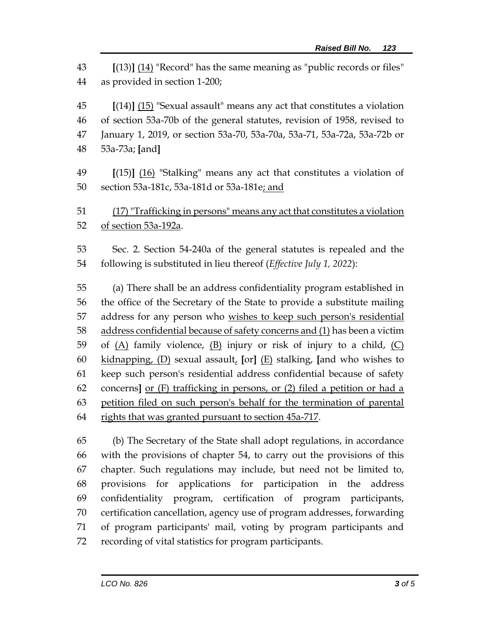**[**(13)**]** (14) "Record" has the same meaning as "public records or files" as provided in section 1-200;

 **[**(14)**]** (15) "Sexual assault" means any act that constitutes a violation of section 53a-70b of the general statutes, revision of 1958, revised to January 1, 2019, or section 53a-70, 53a-70a, 53a-71, 53a-72a, 53a-72b or 53a-73a; **[**and**]**

 **[**(15)**]** (16) "Stalking" means any act that constitutes a violation of 50 section 53a-181c, 53a-181d or 53a-181e; and

 (17) "Trafficking in persons" means any act that constitutes a violation of section 53a-192a.

 Sec. 2. Section 54-240a of the general statutes is repealed and the following is substituted in lieu thereof (*Effective July 1, 2022*):

 (a) There shall be an address confidentiality program established in the office of the Secretary of the State to provide a substitute mailing 57 address for any person who wishes to keep such person's residential address confidential because of safety concerns and (1) has been a victim 59 of  $(A)$  family violence,  $(B)$  injury or risk of injury to a child,  $(C)$  kidnapping, (D) sexual assault, **[**or**]** (E) stalking, **[**and who wishes to keep such person's residential address confidential because of safety concerns**]** or (F) trafficking in persons, or (2) filed a petition or had a petition filed on such person's behalf for the termination of parental 64 rights that was granted pursuant to section 45a-717.

 (b) The Secretary of the State shall adopt regulations, in accordance with the provisions of chapter 54, to carry out the provisions of this chapter. Such regulations may include, but need not be limited to, provisions for applications for participation in the address confidentiality program, certification of program participants, certification cancellation, agency use of program addresses, forwarding of program participants' mail, voting by program participants and recording of vital statistics for program participants.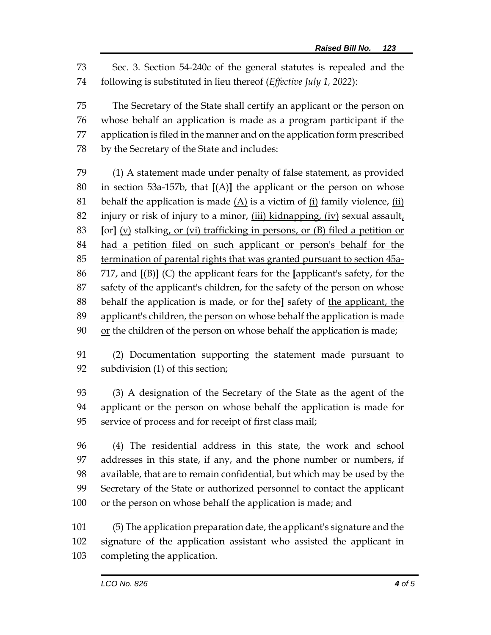Sec. 3. Section 54-240c of the general statutes is repealed and the following is substituted in lieu thereof (*Effective July 1, 2022*):

 The Secretary of the State shall certify an applicant or the person on whose behalf an application is made as a program participant if the application is filed in the manner and on the application form prescribed by the Secretary of the State and includes:

 (1) A statement made under penalty of false statement, as provided in section 53a-157b, that **[**(A)**]** the applicant or the person on whose 81 behalf the application is made  $(A)$  is a victim of  $(i)$  family violence,  $(ii)$  injury or risk of injury to a minor, (iii) kidnapping, (iv) sexual assault, **[**or**]** (v) stalking, or (vi) trafficking in persons, or (B) filed a petition or 84 had a petition filed on such applicant or person's behalf for the termination of parental rights that was granted pursuant to section 45a- 717, and **[**(B)**]** (C) the applicant fears for the **[**applicant's safety, for the safety of the applicant's children, for the safety of the person on whose behalf the application is made, or for the**]** safety of the applicant, the applicant's children, the person on whose behalf the application is made or the children of the person on whose behalf the application is made;

 (2) Documentation supporting the statement made pursuant to subdivision (1) of this section;

 (3) A designation of the Secretary of the State as the agent of the applicant or the person on whose behalf the application is made for service of process and for receipt of first class mail;

 (4) The residential address in this state, the work and school addresses in this state, if any, and the phone number or numbers, if available, that are to remain confidential, but which may be used by the Secretary of the State or authorized personnel to contact the applicant or the person on whose behalf the application is made; and

 (5) The application preparation date, the applicant's signature and the signature of the application assistant who assisted the applicant in completing the application.